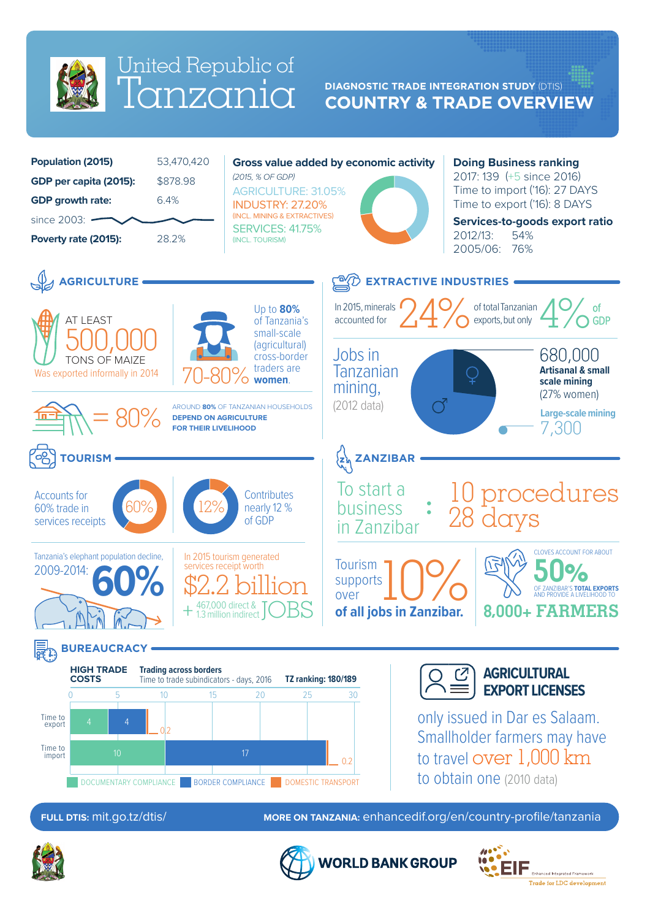

## lanzania United Republic of

## **COUNTRY & TRADE OVERVIEW DIAGNOSTIC TRADE INTEGRATION STUDY** (DTIS)



**ORLD BANK GROUP**